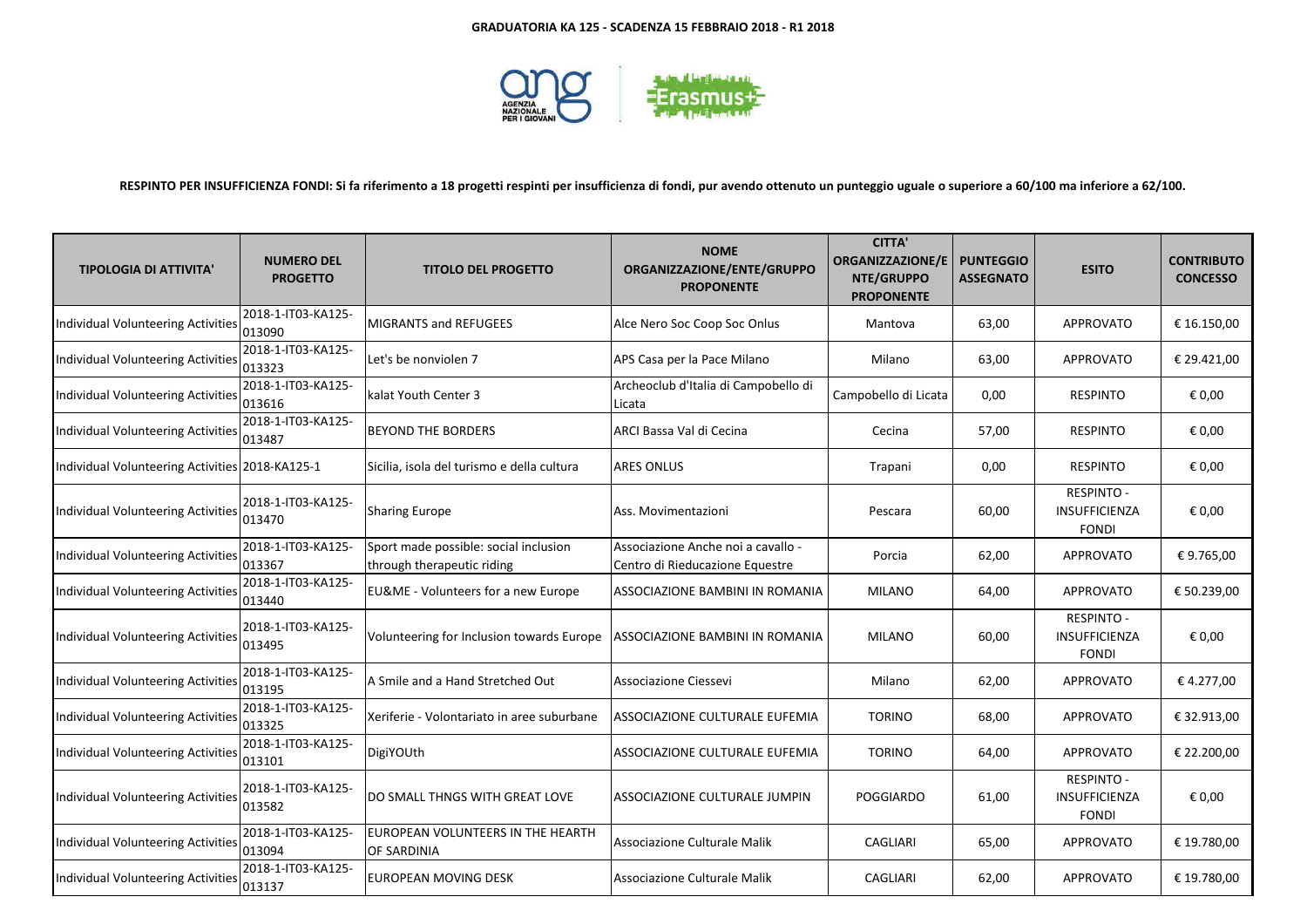

# **RESPINTO PER INSUFFICIENZA FONDI: Si fa riferimento a 18 progetti respinti per insufficienza di fondi, pur avendo ottenuto un punteggio uguale o superiore a 60/100 ma inferiore a 62/100.**

| <b>TIPOLOGIA DI ATTIVITA'</b>                   | <b>NUMERO DEL</b><br><b>PROGETTO</b> | <b>TITOLO DEL PROGETTO</b>                                          | <b>NOME</b><br>ORGANIZZAZIONE/ENTE/GRUPPO<br><b>PROPONENTE</b>        | <b>CITTA'</b><br><b>ORGANIZZAZIONE/E</b><br>NTE/GRUPPO<br><b>PROPONENTE</b> | <b>PUNTEGGIO</b><br><b>ASSEGNATO</b> | <b>ESITO</b>                                              | <b>CONTRIBUTO</b><br><b>CONCESSO</b> |
|-------------------------------------------------|--------------------------------------|---------------------------------------------------------------------|-----------------------------------------------------------------------|-----------------------------------------------------------------------------|--------------------------------------|-----------------------------------------------------------|--------------------------------------|
| Individual Volunteering Activities              | 2018-1-IT03-KA125-<br>013090         | <b>MIGRANTS and REFUGEES</b>                                        | Alce Nero Soc Coop Soc Onlus                                          | Mantova                                                                     | 63,00                                | <b>APPROVATO</b>                                          | € 16.150,00                          |
| Individual Volunteering Activities              | 2018-1-IT03-KA125-<br>013323         | Let's be nonviolen 7                                                | APS Casa per la Pace Milano                                           | Milano                                                                      | 63,00                                | <b>APPROVATO</b>                                          | € 29.421,00                          |
| Individual Volunteering Activities              | 2018-1-IT03-KA125-<br>013616         | kalat Youth Center 3                                                | Archeoclub d'Italia di Campobello di<br>Licata                        | Campobello di Licata                                                        | 0,00                                 | <b>RESPINTO</b>                                           | € 0,00                               |
| Individual Volunteering Activities              | 2018-1-IT03-KA125-<br>013487         | <b>BEYOND THE BORDERS</b>                                           | ARCI Bassa Val di Cecina                                              | Cecina                                                                      | 57,00                                | <b>RESPINTO</b>                                           | € 0,00                               |
| Individual Volunteering Activities 2018-KA125-1 |                                      | Sicilia, isola del turismo e della cultura                          | <b>ARES ONLUS</b>                                                     | Trapani                                                                     | 0,00                                 | <b>RESPINTO</b>                                           | € 0,00                               |
| Individual Volunteering Activities              | 2018-1-IT03-KA125-<br>013470         | <b>Sharing Europe</b>                                               | Ass. Movimentazioni                                                   | Pescara                                                                     | 60,00                                | <b>RESPINTO -</b><br>INSUFFICIENZA<br><b>FONDI</b>        | € 0,00                               |
| Individual Volunteering Activities              | 2018-1-IT03-KA125-<br>013367         | Sport made possible: social inclusion<br>through therapeutic riding | Associazione Anche noi a cavallo -<br>Centro di Rieducazione Equestre | Porcia                                                                      | 62,00                                | <b>APPROVATO</b>                                          | €9.765,00                            |
| Individual Volunteering Activities              | 2018-1-IT03-KA125-<br>013440         | EU&ME - Volunteers for a new Europe                                 | ASSOCIAZIONE BAMBINI IN ROMANIA                                       | <b>MILANO</b>                                                               | 64,00                                | <b>APPROVATO</b>                                          | € 50.239,00                          |
| Individual Volunteering Activities              | 2018-1-IT03-KA125-<br>013495         | Volunteering for Inclusion towards Europe                           | ASSOCIAZIONE BAMBINI IN ROMANIA                                       | <b>MILANO</b>                                                               | 60,00                                | <b>RESPINTO -</b><br>INSUFFICIENZA<br><b>FONDI</b>        | € 0,00                               |
| Individual Volunteering Activities              | 2018-1-IT03-KA125-<br>013195         | A Smile and a Hand Stretched Out                                    | Associazione Ciessevi                                                 | Milano                                                                      | 62,00                                | APPROVATO                                                 | € 4.277,00                           |
| Individual Volunteering Activities              | 2018-1-IT03-KA125-<br>013325         | Xeriferie - Volontariato in aree suburbane                          | ASSOCIAZIONE CULTURALE EUFEMIA                                        | <b>TORINO</b>                                                               | 68,00                                | <b>APPROVATO</b>                                          | € 32.913,00                          |
| Individual Volunteering Activities              | 2018-1-IT03-KA125-<br>013101         | DigiYOUth                                                           | ASSOCIAZIONE CULTURALE EUFEMIA                                        | <b>TORINO</b>                                                               | 64,00                                | <b>APPROVATO</b>                                          | € 22.200,00                          |
| Individual Volunteering Activities              | 2018-1-IT03-KA125-<br>013582         | DO SMALL THNGS WITH GREAT LOVE                                      | ASSOCIAZIONE CULTURALE JUMPIN                                         | <b>POGGIARDO</b>                                                            | 61,00                                | <b>RESPINTO -</b><br><b>INSUFFICIENZA</b><br><b>FONDI</b> | € 0,00                               |
| Individual Volunteering Activities              | 2018-1-IT03-KA125-<br>013094         | EUROPEAN VOLUNTEERS IN THE HEARTH<br>OF SARDINIA                    | Associazione Culturale Malik                                          | CAGLIARI                                                                    | 65,00                                | <b>APPROVATO</b>                                          | € 19.780,00                          |
| Individual Volunteering Activities              | 2018-1-IT03-KA125-<br>013137         | EUROPEAN MOVING DESK                                                | Associazione Culturale Malik                                          | CAGLIARI                                                                    | 62,00                                | APPROVATO                                                 | € 19.780,00                          |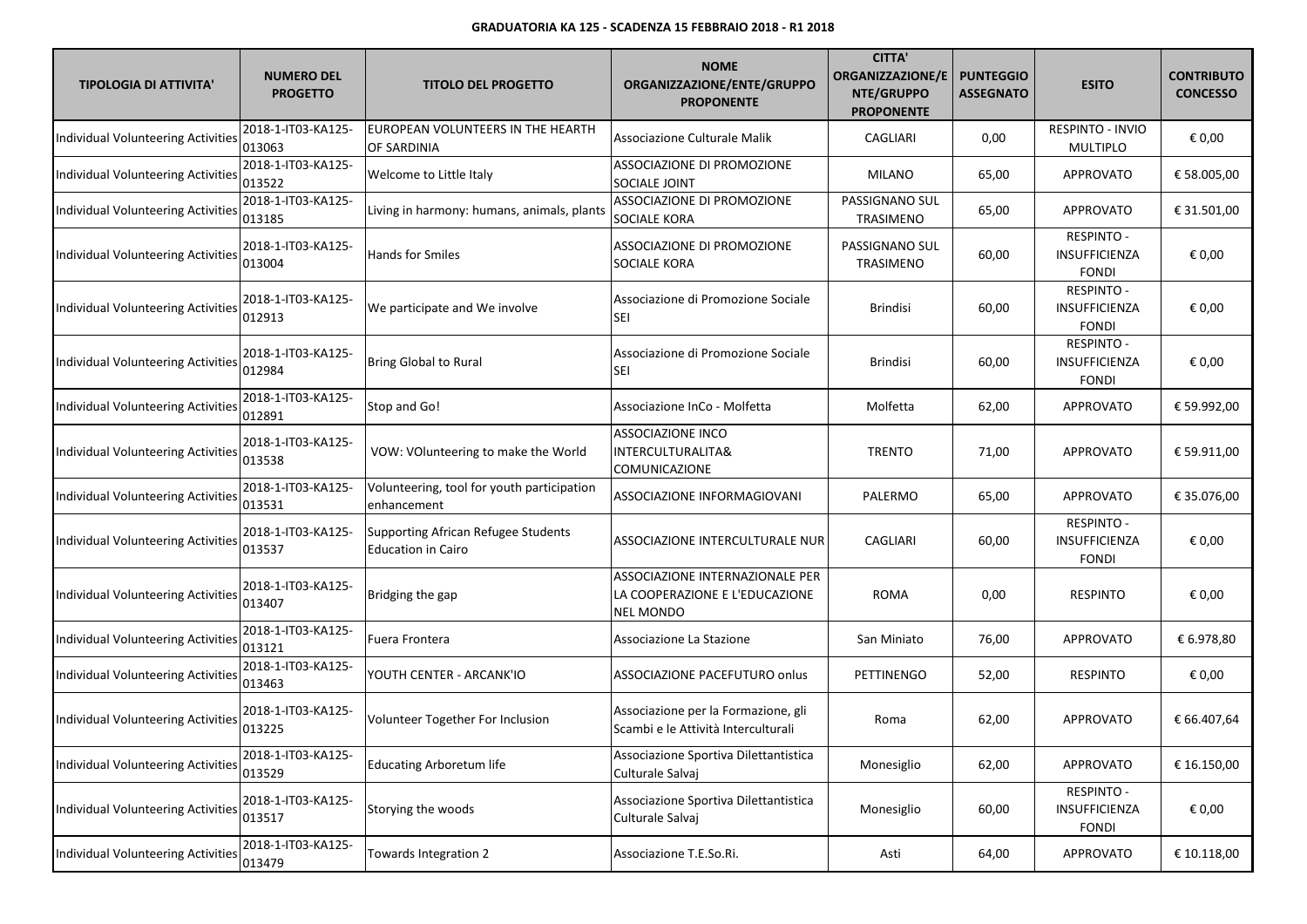| <b>TIPOLOGIA DI ATTIVITA'</b>             | <b>NUMERO DEL</b><br><b>PROGETTO</b> | <b>TITOLO DEL PROGETTO</b>                                       | <b>NOME</b><br>ORGANIZZAZIONE/ENTE/GRUPPO<br><b>PROPONENTE</b>                        | <b>CITTA'</b><br><b>ORGANIZZAZIONE/E</b><br>NTE/GRUPPO<br><b>PROPONENTE</b> | <b>PUNTEGGIO</b><br><b>ASSEGNATO</b> | <b>ESITO</b>                                              | <b>CONTRIBUTO</b><br><b>CONCESSO</b> |
|-------------------------------------------|--------------------------------------|------------------------------------------------------------------|---------------------------------------------------------------------------------------|-----------------------------------------------------------------------------|--------------------------------------|-----------------------------------------------------------|--------------------------------------|
| <b>Individual Volunteering Activities</b> | 2018-1-IT03-KA125-<br>013063         | EUROPEAN VOLUNTEERS IN THE HEARTH<br>OF SARDINIA                 | Associazione Culturale Malik                                                          | <b>CAGLIARI</b>                                                             | 0,00                                 | RESPINTO - INVIO<br><b>MULTIPLO</b>                       | € 0,00                               |
| <b>Individual Volunteering Activities</b> | 2018-1-IT03-KA125-<br>013522         | Welcome to Little Italy                                          | ASSOCIAZIONE DI PROMOZIONE<br>SOCIALE JOINT                                           | MILANO                                                                      | 65,00                                | <b>APPROVATO</b>                                          | € 58.005,00                          |
| Individual Volunteering Activities        | 2018-1-IT03-KA125-<br>013185         | Living in harmony: humans, animals, plants                       | ASSOCIAZIONE DI PROMOZIONE<br>SOCIALE KORA                                            | PASSIGNANO SUL<br>TRASIMENO                                                 | 65,00                                | APPROVATO                                                 | € 31.501,00                          |
| Individual Volunteering Activities        | 2018-1-IT03-KA125-<br>013004         | <b>Hands for Smiles</b>                                          | ASSOCIAZIONE DI PROMOZIONE<br>SOCIALE KORA                                            | PASSIGNANO SUL<br><b>TRASIMENO</b>                                          | 60,00                                | <b>RESPINTO -</b><br>INSUFFICIENZA<br><b>FONDI</b>        | € 0,00                               |
| Individual Volunteering Activities        | 2018-1-IT03-KA125-<br>012913         | We participate and We involve                                    | Associazione di Promozione Sociale<br><b>SEI</b>                                      | <b>Brindisi</b>                                                             | 60,00                                | <b>RESPINTO -</b><br>INSUFFICIENZA<br><b>FONDI</b>        | € 0,00                               |
| Individual Volunteering Activities        | 2018-1-IT03-KA125-<br>012984         | <b>Bring Global to Rural</b>                                     | Associazione di Promozione Sociale<br><b>SEI</b>                                      | <b>Brindisi</b>                                                             | 60,00                                | <b>RESPINTO -</b><br>INSUFFICIENZA<br><b>FONDI</b>        | € 0,00                               |
| <b>Individual Volunteering Activities</b> | 2018-1-IT03-KA125-<br>012891         | Stop and Go!                                                     | Associazione InCo - Molfetta                                                          | Molfetta                                                                    | 62,00                                | <b>APPROVATO</b>                                          | € 59.992,00                          |
| Individual Volunteering Activities        | 2018-1-IT03-KA125-<br>013538         | VOW: VOlunteering to make the World                              | <b>ASSOCIAZIONE INCO</b><br>INTERCULTURALITA&<br>COMUNICAZIONE                        | <b>TRENTO</b>                                                               | 71,00                                | <b>APPROVATO</b>                                          | € 59.911,00                          |
| Individual Volunteering Activities        | 2018-1-IT03-KA125-<br>013531         | Volunteering, tool for youth participation<br>enhancement        | ASSOCIAZIONE INFORMAGIOVANI                                                           | PALERMO                                                                     | 65,00                                | <b>APPROVATO</b>                                          | € 35.076,00                          |
| Individual Volunteering Activities        | 2018-1-IT03-KA125-<br>013537         | Supporting African Refugee Students<br><b>Education in Cairo</b> | ASSOCIAZIONE INTERCULTURALE NUR                                                       | <b>CAGLIARI</b>                                                             | 60,00                                | <b>RESPINTO -</b><br><b>INSUFFICIENZA</b><br><b>FONDI</b> | € 0,00                               |
| Individual Volunteering Activities        | 2018-1-IT03-KA125-<br>013407         | Bridging the gap                                                 | ASSOCIAZIONE INTERNAZIONALE PER<br>LA COOPERAZIONE E L'EDUCAZIONE<br><b>NEL MONDO</b> | <b>ROMA</b>                                                                 | 0,00                                 | <b>RESPINTO</b>                                           | € 0,00                               |
| Individual Volunteering Activities        | 2018-1-IT03-KA125-<br>013121         | Fuera Frontera                                                   | Associazione La Stazione                                                              | San Miniato                                                                 | 76,00                                | APPROVATO                                                 | € 6.978,80                           |
| <b>Individual Volunteering Activities</b> | 2018-1-IT03-KA125-<br>013463         | YOUTH CENTER - ARCANK'IO                                         | ASSOCIAZIONE PACEFUTURO onlus                                                         | <b>PETTINENGO</b>                                                           | 52,00                                | <b>RESPINTO</b>                                           | € 0,00                               |
| <b>Individual Volunteering Activities</b> | 2018-1-IT03-KA125-<br>013225         | Volunteer Together For Inclusion                                 | Associazione per la Formazione, gli<br>Scambi e le Attività Interculturali            | Roma                                                                        | 62,00                                | <b>APPROVATO</b>                                          | € 66.407,64                          |
| <b>Individual Volunteering Activities</b> | 2018-1-IT03-KA125-<br>013529         | <b>Educating Arboretum life</b>                                  | Associazione Sportiva Dilettantistica<br>Culturale Salvaj                             | Monesiglio                                                                  | 62,00                                | APPROVATO                                                 | € 16.150,00                          |
| <b>Individual Volunteering Activities</b> | 2018-1-IT03-KA125-<br>013517         | Storying the woods                                               | Associazione Sportiva Dilettantistica<br>Culturale Salvaj                             | Monesiglio                                                                  | 60,00                                | <b>RESPINTO -</b><br>INSUFFICIENZA<br>FONDI               | € 0,00                               |
| Individual Volunteering Activities        | 2018-1-IT03-KA125-<br>013479         | Towards Integration 2                                            | Associazione T.E.So.Ri.                                                               | Asti                                                                        | 64,00                                | APPROVATO                                                 | € 10.118,00                          |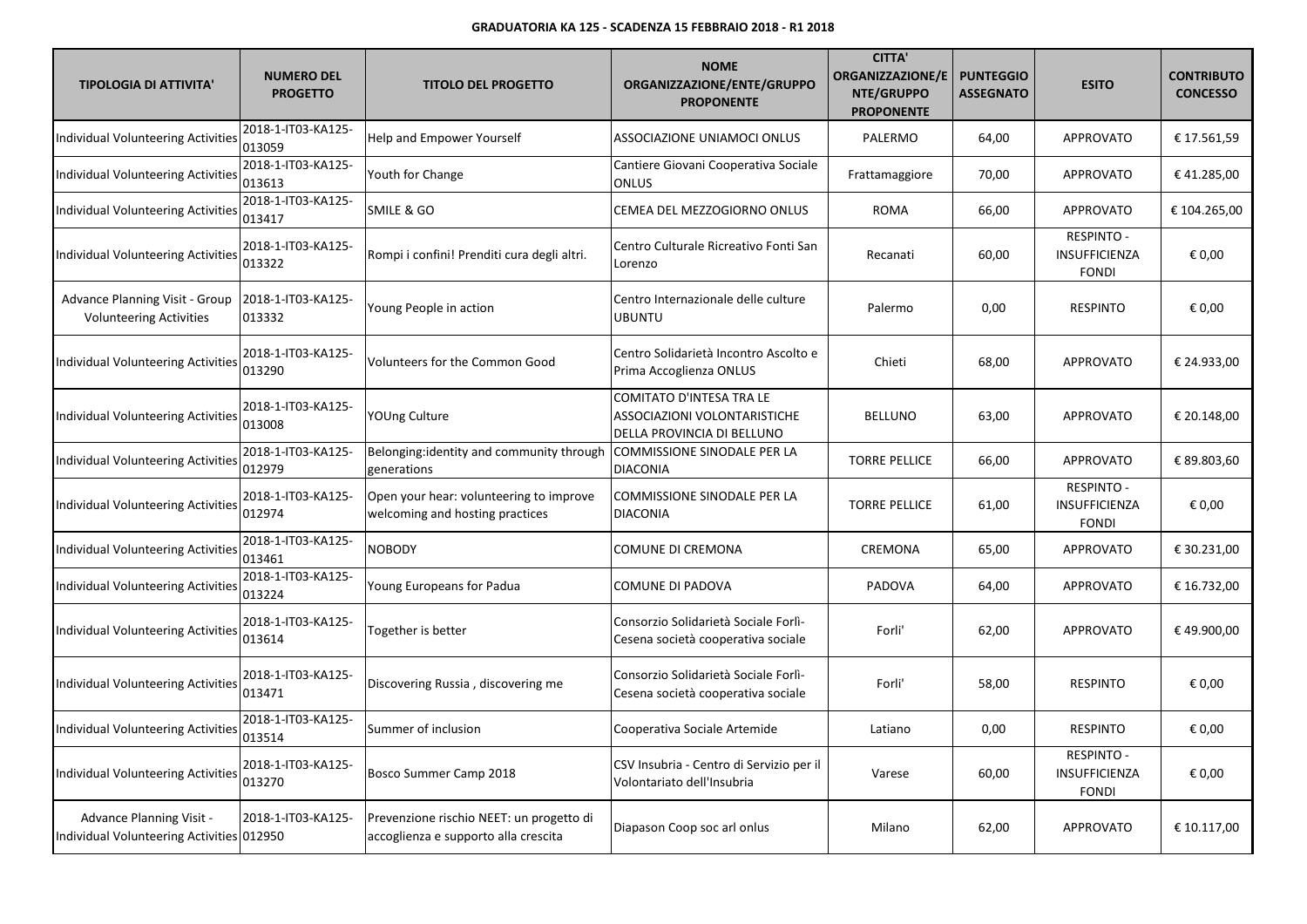| <b>TIPOLOGIA DI ATTIVITA'</b>                                           | <b>NUMERO DEL</b><br><b>PROGETTO</b> | <b>TITOLO DEL PROGETTO</b>                                                       | <b>NOME</b><br>ORGANIZZAZIONE/ENTE/GRUPPO<br><b>PROPONENTE</b>                         | <b>CITTA'</b><br><b>ORGANIZZAZIONE/E</b><br>NTE/GRUPPO<br><b>PROPONENTE</b> | <b>PUNTEGGIO</b><br><b>ASSEGNATO</b> | <b>ESITO</b>                                       | <b>CONTRIBUTO</b><br><b>CONCESSO</b> |
|-------------------------------------------------------------------------|--------------------------------------|----------------------------------------------------------------------------------|----------------------------------------------------------------------------------------|-----------------------------------------------------------------------------|--------------------------------------|----------------------------------------------------|--------------------------------------|
| Individual Volunteering Activities                                      | 2018-1-IT03-KA125-<br>013059         | Help and Empower Yourself                                                        | ASSOCIAZIONE UNIAMOCI ONLUS                                                            | PALERMO                                                                     | 64,00                                | <b>APPROVATO</b>                                   | € 17.561,59                          |
| Individual Volunteering Activitie                                       | 2018-1-IT03-KA125-<br>013613         | Youth for Change                                                                 | Cantiere Giovani Cooperativa Sociale<br><b>ONLUS</b>                                   | Frattamaggiore                                                              | 70,00                                | <b>APPROVATO</b>                                   | €41.285,00                           |
| Individual Volunteering Activitie:                                      | 2018-1-IT03-KA125-<br>013417         | SMILE & GO                                                                       | CEMEA DEL MEZZOGIORNO ONLUS                                                            | <b>ROMA</b>                                                                 | 66,00                                | <b>APPROVATO</b>                                   | € 104.265,00                         |
| <b>Individual Volunteering Activities</b>                               | 2018-1-IT03-KA125-<br>013322         | Rompi i confini! Prenditi cura degli altri.                                      | Centro Culturale Ricreativo Fonti San<br>Lorenzo                                       | Recanati                                                                    | 60,00                                | <b>RESPINTO -</b><br>INSUFFICIENZA<br><b>FONDI</b> | € 0,00                               |
| <b>Advance Planning Visit - Group</b><br><b>Volunteering Activities</b> | 2018-1-IT03-KA125-<br>013332         | Young People in action                                                           | Centro Internazionale delle culture<br><b>UBUNTU</b>                                   | Palermo                                                                     | 0,00                                 | <b>RESPINTO</b>                                    | € 0,00                               |
| Individual Volunteering Activities                                      | 2018-1-IT03-KA125-<br>013290         | Volunteers for the Common Good                                                   | Centro Solidarietà Incontro Ascolto e<br>Prima Accoglienza ONLUS                       | Chieti                                                                      | 68,00                                | <b>APPROVATO</b>                                   | € 24.933,00                          |
| Individual Volunteering Activities                                      | 2018-1-IT03-KA125-<br>013008         | YOUng Culture                                                                    | COMITATO D'INTESA TRA LE<br>ASSOCIAZIONI VOLONTARISTICHE<br>DELLA PROVINCIA DI BELLUNO | <b>BELLUNO</b>                                                              | 63,00                                | <b>APPROVATO</b>                                   | € 20.148,00                          |
| Individual Volunteering Activities                                      | 2018-1-IT03-KA125-<br>012979         | Belonging:identity and community through<br>generations                          | COMMISSIONE SINODALE PER LA<br><b>DIACONIA</b>                                         | <b>TORRE PELLICE</b>                                                        | 66,00                                | <b>APPROVATO</b>                                   | € 89.803,60                          |
| Individual Volunteering Activities                                      | 2018-1-IT03-KA125-<br>012974         | Open your hear: volunteering to improve<br>welcoming and hosting practices       | COMMISSIONE SINODALE PER LA<br><b>DIACONIA</b>                                         | <b>TORRE PELLICE</b>                                                        | 61,00                                | RESPINTO -<br>INSUFFICIENZA<br><b>FONDI</b>        | € 0,00                               |
| Individual Volunteering Activities                                      | 2018-1-IT03-KA125-<br>013461         | <b>NOBODY</b>                                                                    | COMUNE DI CREMONA                                                                      | CREMONA                                                                     | 65,00                                | APPROVATO                                          | € 30.231,00                          |
| Individual Volunteering Activitie                                       | 2018-1-IT03-KA125-<br>013224         | Young Europeans for Padua                                                        | COMUNE DI PADOVA                                                                       | PADOVA                                                                      | 64,00                                | <b>APPROVATO</b>                                   | € 16.732,00                          |
| Individual Volunteering Activities                                      | 2018-1-IT03-KA125-<br>013614         | Together is better                                                               | Consorzio Solidarietà Sociale Forlì-<br>Cesena società cooperativa sociale             | Forli'                                                                      | 62,00                                | <b>APPROVATO</b>                                   | €49.900,00                           |
| Individual Volunteering Activities                                      | 2018-1-IT03-KA125-<br>013471         | Discovering Russia, discovering me                                               | Consorzio Solidarietà Sociale Forlì-<br>Cesena società cooperativa sociale             | Forli'                                                                      | 58,00                                | <b>RESPINTO</b>                                    | € 0,00                               |
| Individual Volunteering Activities                                      | 2018-1-IT03-KA125-<br>013514         | Summer of inclusion                                                              | Cooperativa Sociale Artemide                                                           | Latiano                                                                     | 0,00                                 | <b>RESPINTO</b>                                    | € 0,00                               |
| Individual Volunteering Activities                                      | 2018-1-IT03-KA125-<br>013270         | Bosco Summer Camp 2018                                                           | CSV Insubria - Centro di Servizio per il<br>Volontariato dell'Insubria                 | Varese                                                                      | 60,00                                | <b>RESPINTO -</b><br>INSUFFICIENZA<br><b>FONDI</b> | € 0,00                               |
| Advance Planning Visit -<br>Individual Volunteering Activities 012950   | 2018-1-IT03-KA125-                   | Prevenzione rischio NEET: un progetto di<br>accoglienza e supporto alla crescita | Diapason Coop soc arl onlus                                                            | Milano                                                                      | 62,00                                | <b>APPROVATO</b>                                   | € 10.117,00                          |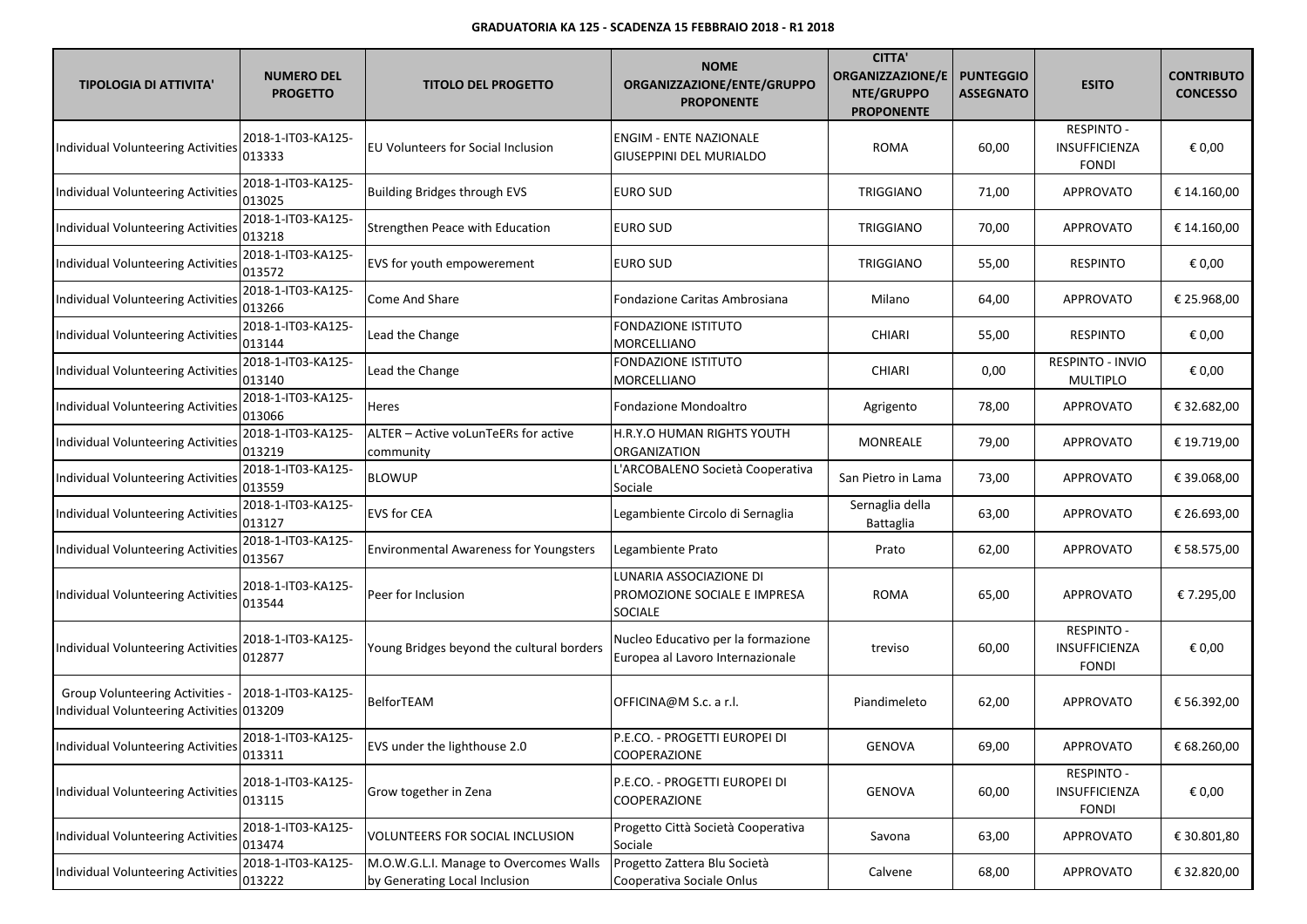| <b>TIPOLOGIA DI ATTIVITA'</b>                                                       | <b>NUMERO DEL</b><br><b>PROGETTO</b> | <b>TITOLO DEL PROGETTO</b>                                              | <b>NOME</b><br>ORGANIZZAZIONE/ENTE/GRUPPO<br><b>PROPONENTE</b>            | <b>CITTA'</b><br><b>ORGANIZZAZIONE/E</b><br>NTE/GRUPPO<br><b>PROPONENTE</b> | <b>PUNTEGGIO</b><br><b>ASSEGNATO</b> | <b>ESITO</b>                                       | <b>CONTRIBUTO</b><br><b>CONCESSO</b> |
|-------------------------------------------------------------------------------------|--------------------------------------|-------------------------------------------------------------------------|---------------------------------------------------------------------------|-----------------------------------------------------------------------------|--------------------------------------|----------------------------------------------------|--------------------------------------|
| Individual Volunteering Activities                                                  | 2018-1-IT03-KA125-<br>013333         | <b>EU Volunteers for Social Inclusion</b>                               | <b>ENGIM - ENTE NAZIONALE</b><br><b>GIUSEPPINI DEL MURIALDO</b>           | <b>ROMA</b>                                                                 | 60,00                                | <b>RESPINTO -</b><br>INSUFFICIENZA<br><b>FONDI</b> | € 0,00                               |
| Individual Volunteering Activities                                                  | 2018-1-IT03-KA125-<br>013025         | <b>Building Bridges through EVS</b>                                     | EURO SUD                                                                  | TRIGGIANO                                                                   | 71,00                                | APPROVATO                                          | € 14.160,00                          |
| Individual Volunteering Activities                                                  | 2018-1-IT03-KA125-<br>013218         | Strengthen Peace with Education                                         | <b>EURO SUD</b>                                                           | TRIGGIANO                                                                   | 70,00                                | APPROVATO                                          | € 14.160,00                          |
| Individual Volunteering Activities                                                  | 2018-1-IT03-KA125-<br>013572         | EVS for youth empowerement                                              | EURO SUD                                                                  | TRIGGIANO                                                                   | 55,00                                | <b>RESPINTO</b>                                    | € 0,00                               |
| Individual Volunteering Activitie                                                   | 2018-1-IT03-KA125-<br>013266         | Come And Share                                                          | Fondazione Caritas Ambrosiana                                             | Milano                                                                      | 64,00                                | APPROVATO                                          | € 25.968,00                          |
| Individual Volunteering Activitie                                                   | 2018-1-IT03-KA125-<br>013144         | Lead the Change                                                         | <b>FONDAZIONE ISTITUTO</b><br>MORCELLIANO                                 | <b>CHIARI</b>                                                               | 55,00                                | <b>RESPINTO</b>                                    | € 0,00                               |
| Individual Volunteering Activitie                                                   | 2018-1-IT03-KA125-<br>013140         | Lead the Change                                                         | <b>FONDAZIONE ISTITUTO</b><br><b>MORCELLIANO</b>                          | <b>CHIARI</b>                                                               | 0,00                                 | RESPINTO - INVIO<br><b>MULTIPLO</b>                | € 0,00                               |
| Individual Volunteering Activities                                                  | 2018-1-IT03-KA125-<br>013066         | Heres                                                                   | Fondazione Mondoaltro                                                     | Agrigento                                                                   | 78,00                                | APPROVATO                                          | € 32.682,00                          |
| <b>Individual Volunteering Activities</b>                                           | 2018-1-IT03-KA125-<br>013219         | ALTER - Active voLunTeERs for active<br>community                       | H.R.Y.O HUMAN RIGHTS YOUTH<br>ORGANIZATION                                | MONREALE                                                                    | 79,00                                | APPROVATO                                          | € 19.719,00                          |
| <b>Individual Volunteering Activities</b>                                           | 2018-1-IT03-KA125-<br>013559         | BLOWUP                                                                  | L'ARCOBALENO Società Cooperativa<br>Sociale                               | San Pietro in Lama                                                          | 73,00                                | APPROVATO                                          | € 39.068,00                          |
| Individual Volunteering Activitie                                                   | 2018-1-IT03-KA125-<br>013127         | <b>EVS for CEA</b>                                                      | Legambiente Circolo di Sernaglia                                          | Sernaglia della<br>Battaglia                                                | 63,00                                | APPROVATO                                          | € 26.693,00                          |
| Individual Volunteering Activities                                                  | 2018-1-IT03-KA125-<br>013567         | <b>Environmental Awareness for Youngsters</b>                           | Legambiente Prato                                                         | Prato                                                                       | 62,00                                | APPROVATO                                          | € 58.575,00                          |
| Individual Volunteering Activities                                                  | 2018-1-IT03-KA125-<br>013544         | Peer for Inclusion                                                      | LUNARIA ASSOCIAZIONE DI<br>PROMOZIONE SOCIALE E IMPRESA<br><b>SOCIALE</b> | ROMA                                                                        | 65,00                                | <b>APPROVATO</b>                                   | € 7.295,00                           |
| Individual Volunteering Activities                                                  | 2018-1-IT03-KA125-<br>012877         | Young Bridges beyond the cultural borders                               | Nucleo Educativo per la formazione<br>Europea al Lavoro Internazionale    | treviso                                                                     | 60,00                                | RESPINTO -<br>INSUFFICIENZA<br><b>FONDI</b>        | € 0,00                               |
| <b>Group Volunteering Activities -</b><br>Individual Volunteering Activities 013209 | 2018-1-IT03-KA125-                   | BelforTEAM                                                              | OFFICINA@M S.c. a r.l.                                                    | Piandimeleto                                                                | 62,00                                | <b>APPROVATO</b>                                   | € 56.392,00                          |
| Individual Volunteering Activities                                                  | 2018-1-IT03-KA125-<br>013311         | EVS under the lighthouse 2.0                                            | P.E.CO. - PROGETTI EUROPEI DI<br>COOPERAZIONE                             | GENOVA                                                                      | 69,00                                | APPROVATO                                          | € 68.260,00                          |
| Individual Volunteering Activities                                                  | 2018-1-IT03-KA125-<br>013115         | Grow together in Zena                                                   | P.E.CO. - PROGETTI EUROPEI DI<br><b>COOPERAZIONE</b>                      | <b>GENOVA</b>                                                               | 60,00                                | <b>RESPINTO -</b><br>INSUFFICIENZA<br><b>FONDI</b> | € 0,00                               |
| Individual Volunteering Activities                                                  | 2018-1-IT03-KA125-<br>013474         | VOLUNTEERS FOR SOCIAL INCLUSION                                         | Progetto Città Società Cooperativa<br>Sociale                             | Savona                                                                      | 63,00                                | APPROVATO                                          | € 30.801,80                          |
| Individual Volunteering Activities                                                  | 2018-1-IT03-KA125-<br>013222         | M.O.W.G.L.I. Manage to Overcomes Walls<br>by Generating Local Inclusion | Progetto Zattera Blu Società<br>Cooperativa Sociale Onlus                 | Calvene                                                                     | 68,00                                | APPROVATO                                          | € 32.820,00                          |